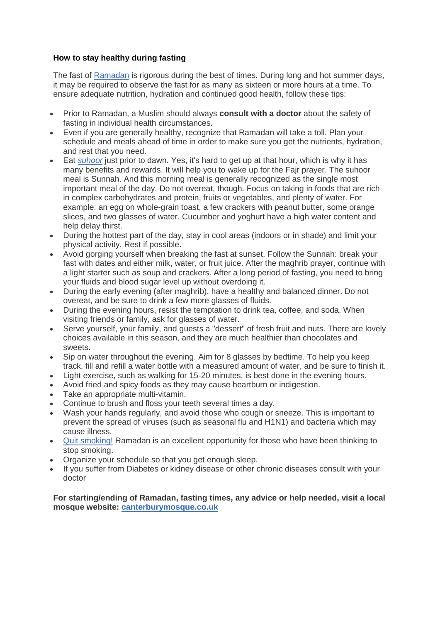## **How to stay healthy during fasting**

The fast of [Ramadan](http://islam.about.com/od/ramadan/tp/ramadan-hub.htm) is rigorous during the best of times. During long and hot summer days, it may be required to observe the fast for as many as sixteen or more hours at a time. To ensure adequate nutrition, hydration and continued good health, follow these tips:

- Prior to Ramadan, a Muslim should always **consult with a doctor** about the safety of fasting in individual health circumstances.
- Even if you are generally healthy, recognize that Ramadan will take a toll. Plan your schedule and meals ahead of time in order to make sure you get the nutrients, hydration, and rest that you need.
- Eat *[suhoor](http://islam.about.com/library/glossary/bldef-suhoor.htm)* just prior to dawn. Yes, it's hard to get up at that hour, which is why it has many benefits and rewards. It will help you to wake up for the Fajr prayer. The suhoor meal is Sunnah. And this morning meal is generally recognized as the single most important meal of the day. Do not overeat, though. Focus on taking in foods that are rich in complex carbohydrates and protein, fruits or vegetables, and plenty of water. For example: an egg on whole-grain toast, a few crackers with peanut butter, some orange slices, and two glasses of water. Cucumber and yoghurt have a high water content and help delay thirst.
- During the hottest part of the day, stay in cool areas (indoors or in shade) and limit your physical activity. Rest if possible.
- Avoid gorging yourself when breaking the fast at sunset. Follow the Sunnah: break your fast with dates and either milk, water, or fruit juice. After the maghrib prayer, continue with a light starter such as soup and crackers. After a long period of fasting, you need to bring your fluids and blood sugar level up without overdoing it.
- During the early evening (after maghrib), have a healthy and balanced dinner. Do not overeat, and be sure to drink a few more glasses of fluids.
- During the evening hours, resist the temptation to drink tea, coffee, and soda. When visiting friends or family, ask for glasses of water.
- Serve yourself, your family, and guests a "dessert" of fresh fruit and nuts. There are lovely choices available in this season, and they are much healthier than chocolates and sweets.
- Sip on water throughout the evening. Aim for 8 glasses by bedtime. To help you keep track, fill and refill a water bottle with a measured amount of water, and be sure to finish it.
- Light exercise, such as walking for 15-20 minutes, is best done in the evening hours.
- Avoid fried and spicy foods as they may cause heartburn or indigestion.
- Take an appropriate multi-vitamin.
- Continue to brush and floss your teeth several times a day.
- Wash your hands regularly, and avoid those who cough or sneeze. This is important to prevent the spread of viruses (such as seasonal flu and H1N1) and bacteria which may cause illness.
- [Quit smoking!](http://islam.about.com/od/health/a/smoking_quit.htm) Ramadan is an excellent opportunity for those who have been thinking to stop smoking.
- Organize your schedule so that you get enough sleep.
- If you suffer from Diabetes or kidney disease or other chronic diseases consult with your doctor

**For starting/ending of Ramadan, fasting times, any advice or help needed, visit a local mosque website: [canterburymosque.co.uk](http://canterburymosque.co.uk/)**